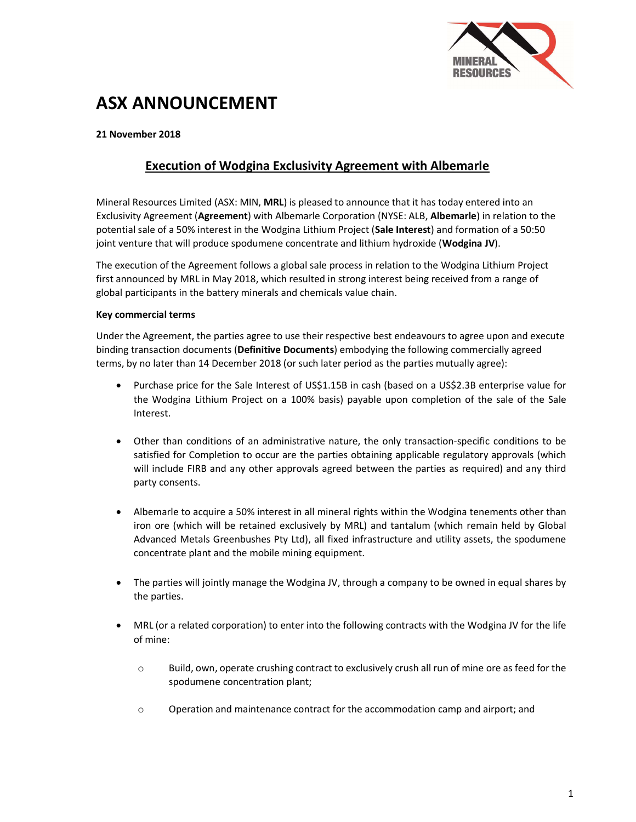

# ASX ANNOUNCEMENT

### 21 November 2018

## Execution of Wodgina Exclusivity Agreement with Albemarle

Mineral Resources Limited (ASX: MIN, MRL) is pleased to announce that it has today entered into an Exclusivity Agreement (Agreement) with Albemarle Corporation (NYSE: ALB, Albemarle) in relation to the potential sale of a 50% interest in the Wodgina Lithium Project (Sale Interest) and formation of a 50:50 joint venture that will produce spodumene concentrate and lithium hydroxide (Wodgina JV).

The execution of the Agreement follows a global sale process in relation to the Wodgina Lithium Project first announced by MRL in May 2018, which resulted in strong interest being received from a range of global participants in the battery minerals and chemicals value chain.

#### Key commercial terms

Under the Agreement, the parties agree to use their respective best endeavours to agree upon and execute binding transaction documents (Definitive Documents) embodying the following commercially agreed terms, by no later than 14 December 2018 (or such later period as the parties mutually agree):

- Purchase price for the Sale Interest of US\$1.15B in cash (based on a US\$2.3B enterprise value for the Wodgina Lithium Project on a 100% basis) payable upon completion of the sale of the Sale Interest.
- Other than conditions of an administrative nature, the only transaction-specific conditions to be satisfied for Completion to occur are the parties obtaining applicable regulatory approvals (which will include FIRB and any other approvals agreed between the parties as required) and any third party consents.
- Albemarle to acquire a 50% interest in all mineral rights within the Wodgina tenements other than iron ore (which will be retained exclusively by MRL) and tantalum (which remain held by Global Advanced Metals Greenbushes Pty Ltd), all fixed infrastructure and utility assets, the spodumene concentrate plant and the mobile mining equipment.
- The parties will jointly manage the Wodgina JV, through a company to be owned in equal shares by the parties.
- MRL (or a related corporation) to enter into the following contracts with the Wodgina JV for the life of mine:
	- o Build, own, operate crushing contract to exclusively crush all run of mine ore as feed for the spodumene concentration plant;
	- o Operation and maintenance contract for the accommodation camp and airport; and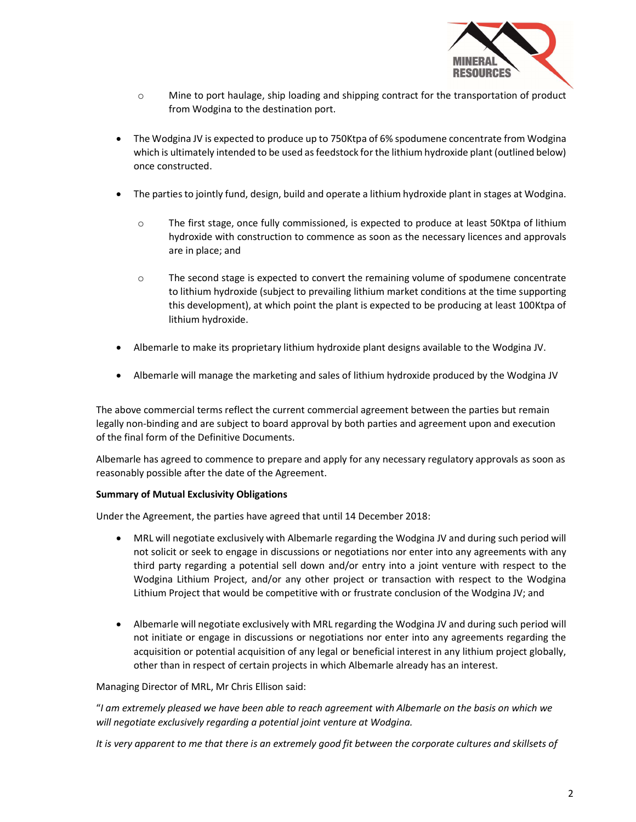

- o Mine to port haulage, ship loading and shipping contract for the transportation of product from Wodgina to the destination port.
- The Wodgina JV is expected to produce up to 750Ktpa of 6% spodumene concentrate from Wodgina which is ultimately intended to be used as feedstock for the lithium hydroxide plant (outlined below) once constructed.
- The parties to jointly fund, design, build and operate a lithium hydroxide plant in stages at Wodgina.
	- o The first stage, once fully commissioned, is expected to produce at least 50Ktpa of lithium hydroxide with construction to commence as soon as the necessary licences and approvals are in place; and
	- o The second stage is expected to convert the remaining volume of spodumene concentrate to lithium hydroxide (subject to prevailing lithium market conditions at the time supporting this development), at which point the plant is expected to be producing at least 100Ktpa of lithium hydroxide.
- Albemarle to make its proprietary lithium hydroxide plant designs available to the Wodgina JV.
- Albemarle will manage the marketing and sales of lithium hydroxide produced by the Wodgina JV

The above commercial terms reflect the current commercial agreement between the parties but remain legally non-binding and are subject to board approval by both parties and agreement upon and execution of the final form of the Definitive Documents.

Albemarle has agreed to commence to prepare and apply for any necessary regulatory approvals as soon as reasonably possible after the date of the Agreement.

#### Summary of Mutual Exclusivity Obligations

Under the Agreement, the parties have agreed that until 14 December 2018:

- MRL will negotiate exclusively with Albemarle regarding the Wodgina JV and during such period will not solicit or seek to engage in discussions or negotiations nor enter into any agreements with any third party regarding a potential sell down and/or entry into a joint venture with respect to the Wodgina Lithium Project, and/or any other project or transaction with respect to the Wodgina Lithium Project that would be competitive with or frustrate conclusion of the Wodgina JV; and
- Albemarle will negotiate exclusively with MRL regarding the Wodgina JV and during such period will not initiate or engage in discussions or negotiations nor enter into any agreements regarding the acquisition or potential acquisition of any legal or beneficial interest in any lithium project globally, other than in respect of certain projects in which Albemarle already has an interest.

Managing Director of MRL, Mr Chris Ellison said:

"I am extremely pleased we have been able to reach agreement with Albemarle on the basis on which we will negotiate exclusively regarding a potential joint venture at Wodgina.

It is very apparent to me that there is an extremely good fit between the corporate cultures and skillsets of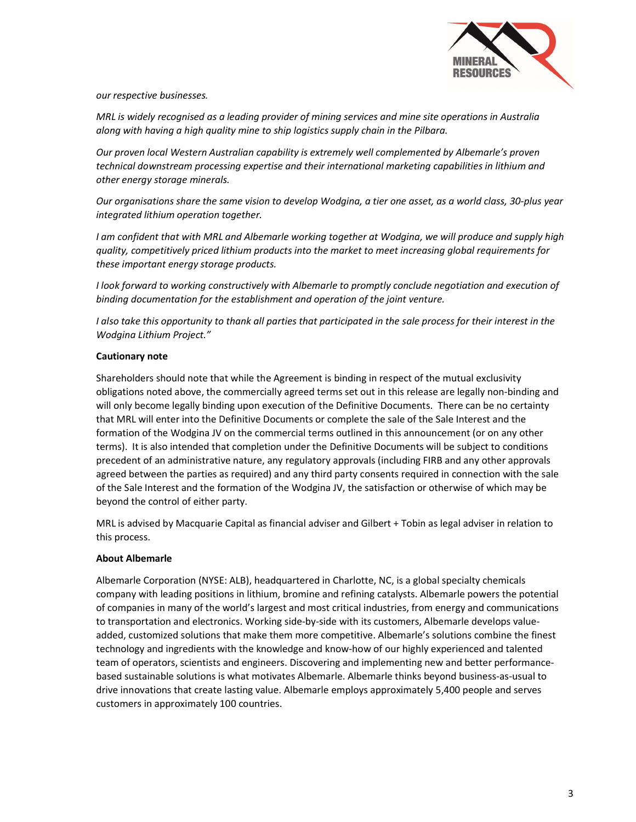

our respective businesses.

MRL is widely recognised as a leading provider of mining services and mine site operations in Australia along with having a high quality mine to ship logistics supply chain in the Pilbara.

Our proven local Western Australian capability is extremely well complemented by Albemarle's proven technical downstream processing expertise and their international marketing capabilities in lithium and other energy storage minerals.

Our organisations share the same vision to develop Wodgina, a tier one asset, as a world class, 30-plus year integrated lithium operation together.

I am confident that with MRL and Albemarle working together at Wodgina, we will produce and supply high quality, competitively priced lithium products into the market to meet increasing global requirements for these important energy storage products.

I look forward to working constructively with Albemarle to promptly conclude negotiation and execution of binding documentation for the establishment and operation of the joint venture.

I also take this opportunity to thank all parties that participated in the sale process for their interest in the Wodgina Lithium Project."

#### Cautionary note

Shareholders should note that while the Agreement is binding in respect of the mutual exclusivity obligations noted above, the commercially agreed terms set out in this release are legally non-binding and will only become legally binding upon execution of the Definitive Documents. There can be no certainty that MRL will enter into the Definitive Documents or complete the sale of the Sale Interest and the formation of the Wodgina JV on the commercial terms outlined in this announcement (or on any other terms). It is also intended that completion under the Definitive Documents will be subject to conditions precedent of an administrative nature, any regulatory approvals (including FIRB and any other approvals agreed between the parties as required) and any third party consents required in connection with the sale of the Sale Interest and the formation of the Wodgina JV, the satisfaction or otherwise of which may be beyond the control of either party.

MRL is advised by Macquarie Capital as financial adviser and Gilbert + Tobin as legal adviser in relation to this process.

#### About Albemarle

Albemarle Corporation (NYSE: ALB), headquartered in Charlotte, NC, is a global specialty chemicals company with leading positions in lithium, bromine and refining catalysts. Albemarle powers the potential of companies in many of the world's largest and most critical industries, from energy and communications to transportation and electronics. Working side-by-side with its customers, Albemarle develops valueadded, customized solutions that make them more competitive. Albemarle's solutions combine the finest technology and ingredients with the knowledge and know-how of our highly experienced and talented team of operators, scientists and engineers. Discovering and implementing new and better performancebased sustainable solutions is what motivates Albemarle. Albemarle thinks beyond business-as-usual to drive innovations that create lasting value. Albemarle employs approximately 5,400 people and serves customers in approximately 100 countries.